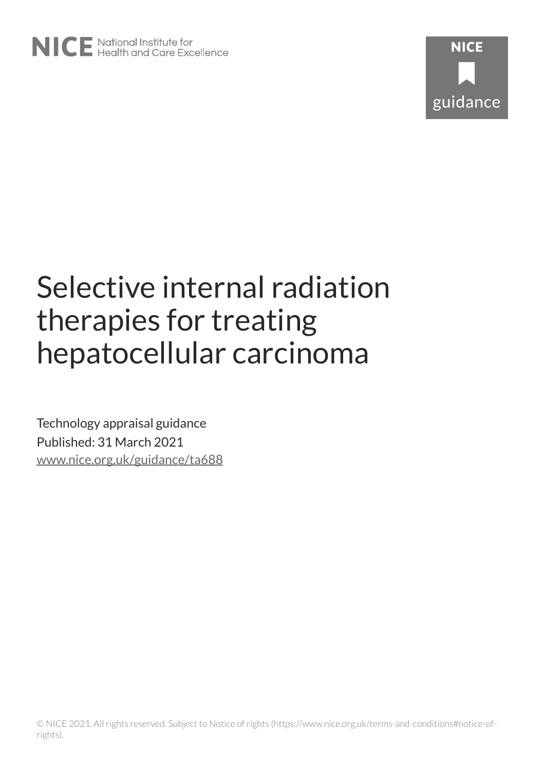# Selective internal radiation therapies for treating hepatocellular carcinoma

Technology appraisal guidance Published: 31 March 2021 [www.nice.org.uk/guidance/ta688](https://www.nice.org.uk/guidance/ta688)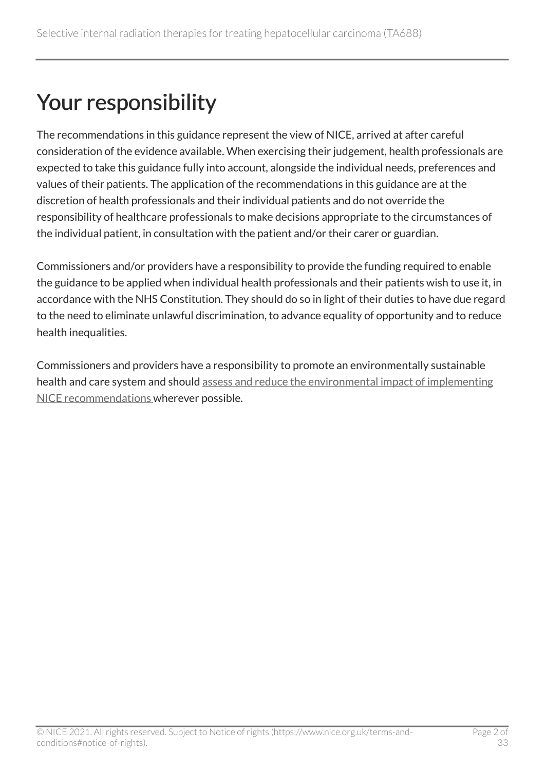## Your responsibility

The recommendations in this guidance represent the view of NICE, arrived at after careful consideration of the evidence available. When exercising their judgement, health professionals are expected to take this guidance fully into account, alongside the individual needs, preferences and values of their patients. The application of the recommendations in this guidance are at the discretion of health professionals and their individual patients and do not override the responsibility of healthcare professionals to make decisions appropriate to the circumstances of the individual patient, in consultation with the patient and/or their carer or guardian.

Commissioners and/or providers have a responsibility to provide the funding required to enable the guidance to be applied when individual health professionals and their patients wish to use it, in accordance with the NHS Constitution. They should do so in light of their duties to have due regard to the need to eliminate unlawful discrimination, to advance equality of opportunity and to reduce health inequalities.

Commissioners and providers have a responsibility to promote an environmentally sustainable health and care system and should [assess and reduce the environmental impact of implementing](https://www.nice.org.uk/about/who-we-are/sustainability)  [NICE recommendations w](https://www.nice.org.uk/about/who-we-are/sustainability)herever possible.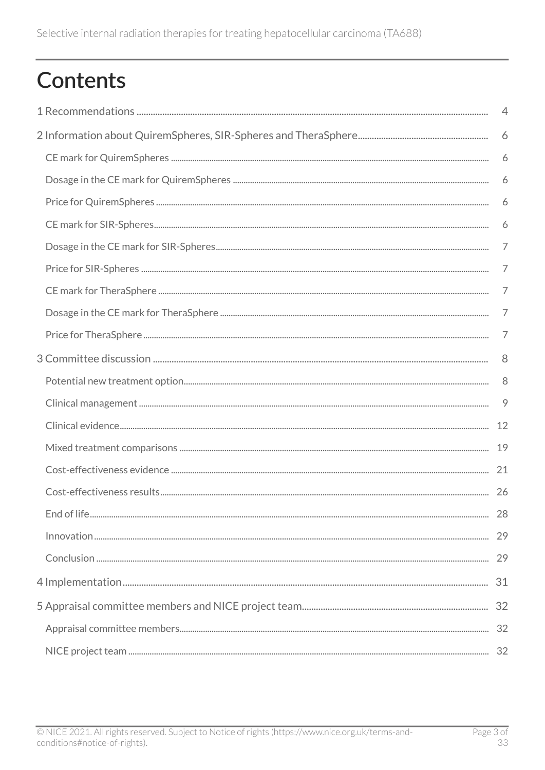## Contents

| $\overline{4}$ |
|----------------|
| 6              |
| 6              |
| 6              |
| 6              |
| 6              |
| 7              |
| 7              |
| 7              |
| 7              |
| 7              |
| 8              |
| 8              |
| 9              |
| 12             |
| 19             |
| 21             |
| 26             |
|                |
|                |
|                |
|                |
|                |
|                |
|                |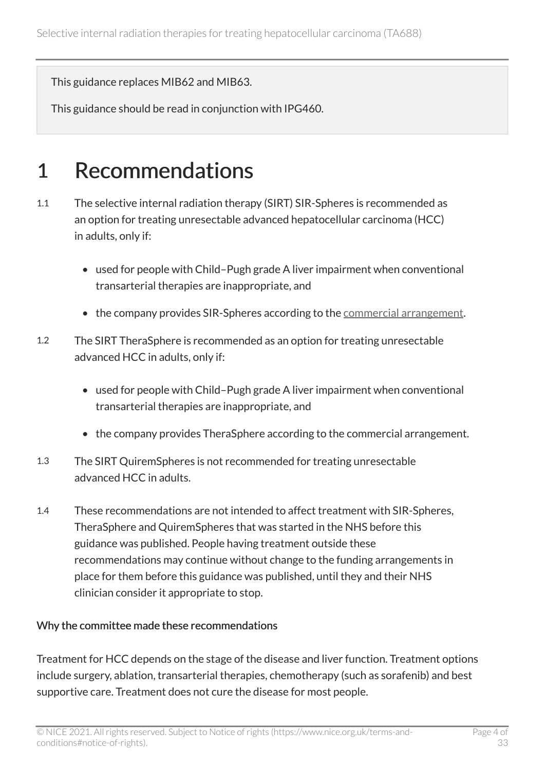This guidance replaces MIB62 and MIB63.

This guidance should be read in conjunction with IPG460.

## <span id="page-3-0"></span>1 Recommendations

- 1.1 The selective internal radiation therapy (SIRT) SIR-Spheres is recommended as an option for treating unresectable advanced hepatocellular carcinoma (HCC) in adults, only if:
	- used for people with Child–Pugh grade A liver impairment when conventional transarterial therapies are inappropriate, and
	- the company provides SIR-Spheres according to the [commercial arrangement.](https://www.nice.org.uk/guidance/ta688)
- 1.2 The SIRT TheraSphere is recommended as an option for treating unresectable advanced HCC in adults, only if:
	- used for people with Child–Pugh grade A liver impairment when conventional transarterial therapies are inappropriate, and
	- the company provides TheraSphere according to the commercial arrangement.
- 1.3 The SIRT QuiremSpheres is not recommended for treating unresectable advanced HCC in adults.
- 1.4 These recommendations are not intended to affect treatment with SIR-Spheres, TheraSphere and QuiremSpheres that was started in the NHS before this guidance was published. People having treatment outside these recommendations may continue without change to the funding arrangements in place for them before this guidance was published, until they and their NHS clinician consider it appropriate to stop.

#### Why the committee made these recommendations

Treatment for HCC depends on the stage of the disease and liver function. Treatment options include surgery, ablation, transarterial therapies, chemotherapy (such as sorafenib) and best supportive care. Treatment does not cure the disease for most people.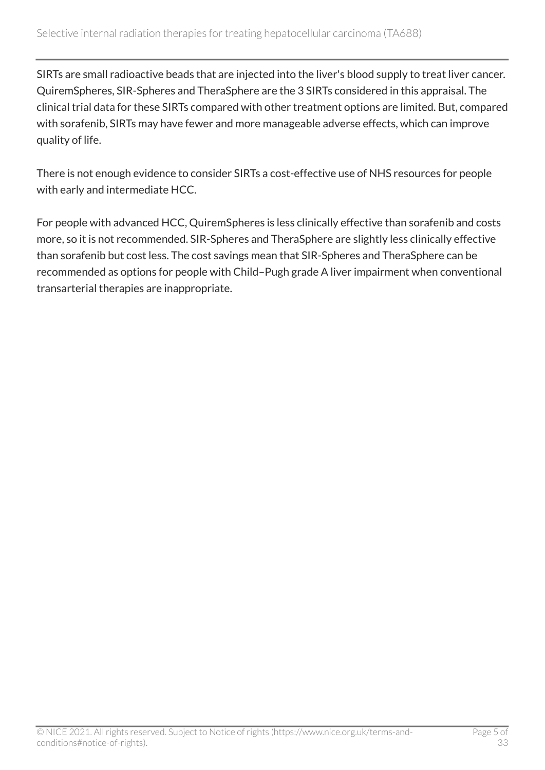SIRTs are small radioactive beads that are injected into the liver's blood supply to treat liver cancer. QuiremSpheres, SIR-Spheres and TheraSphere are the 3 SIRTs considered in this appraisal. The clinical trial data for these SIRTs compared with other treatment options are limited. But, compared with sorafenib, SIRTs may have fewer and more manageable adverse effects, which can improve quality of life.

There is not enough evidence to consider SIRTs a cost-effective use of NHS resources for people with early and intermediate HCC.

For people with advanced HCC, QuiremSpheres is less clinically effective than sorafenib and costs more, so it is not recommended. SIR-Spheres and TheraSphere are slightly less clinically effective than sorafenib but cost less. The cost savings mean that SIR-Spheres and TheraSphere can be recommended as options for people with Child–Pugh grade A liver impairment when conventional transarterial therapies are inappropriate.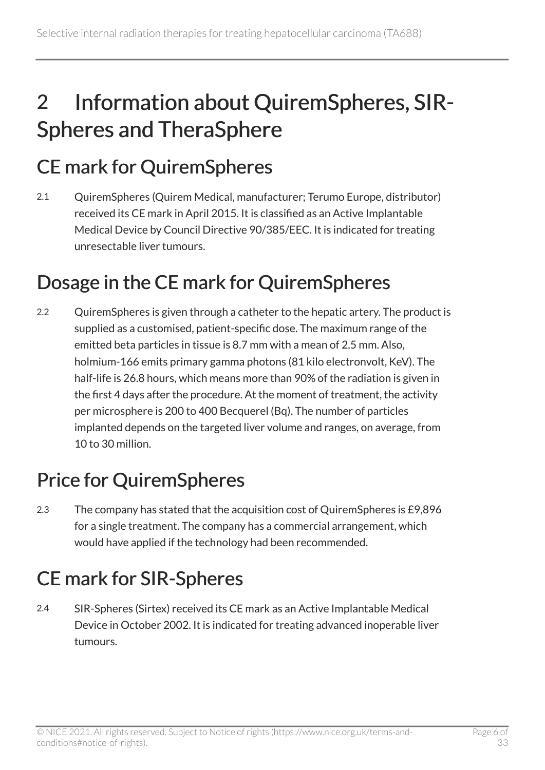## <span id="page-5-0"></span>2 Information about QuiremSpheres, SIR-Spheres and TheraSphere

## <span id="page-5-1"></span>CE mark for QuiremSpheres

2.1 QuiremSpheres (Quirem Medical, manufacturer; Terumo Europe, distributor) received its CE mark in April 2015. It is classified as an Active Implantable Medical Device by Council Directive 90/385/EEC. It is indicated for treating unresectable liver tumours.

## <span id="page-5-2"></span>Dosage in the CE mark for QuiremSpheres

2.2 QuiremSpheres is given through a catheter to the hepatic artery. The product is supplied as a customised, patient-specific dose. The maximum range of the emitted beta particles in tissue is 8.7 mm with a mean of 2.5 mm. Also, holmium-166 emits primary gamma photons (81 kilo electronvolt, KeV). The half-life is 26.8 hours, which means more than 90% of the radiation is given in the first 4 days after the procedure. At the moment of treatment, the activity per microsphere is 200 to 400 Becquerel (Bq). The number of particles implanted depends on the targeted liver volume and ranges, on average, from 10 to 30 million.

## <span id="page-5-3"></span>Price for QuiremSpheres

2.3 The company has stated that the acquisition cost of QuiremSpheres is £9,896 for a single treatment. The company has a commercial arrangement, which would have applied if the technology had been recommended.

## <span id="page-5-4"></span>CE mark for SIR-Spheres

2.4 SIR-Spheres (Sirtex) received its CE mark as an Active Implantable Medical Device in October 2002. It is indicated for treating advanced inoperable liver tumours.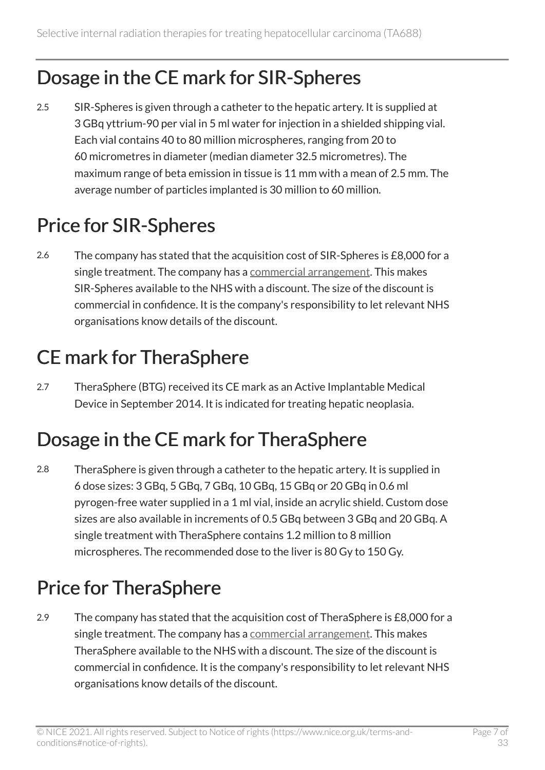## <span id="page-6-0"></span>Dosage in the CE mark for SIR-Spheres

2.5 SIR-Spheres is given through a catheter to the hepatic artery. It is supplied at 3 GBq yttrium-90 per vial in 5 ml water for injection in a shielded shipping vial. Each vial contains 40 to 80 million microspheres, ranging from 20 to 60 micrometres in diameter (median diameter 32.5 micrometres). The maximum range of beta emission in tissue is 11 mm with a mean of 2.5 mm. The average number of particles implanted is 30 million to 60 million.

## <span id="page-6-1"></span>Price for SIR-Spheres

2.6 The company has stated that the acquisition cost of SIR-Spheres is £8,000 for a single treatment. The company has a [commercial arrangement](https://www.nice.org.uk/guidance/ta688). This makes SIR-Spheres available to the NHS with a discount. The size of the discount is commercial in confidence. It is the company's responsibility to let relevant NHS organisations know details of the discount.

## <span id="page-6-2"></span>CE mark for TheraSphere

2.7 TheraSphere (BTG) received its CE mark as an Active Implantable Medical Device in September 2014. It is indicated for treating hepatic neoplasia.

## <span id="page-6-3"></span>Dosage in the CE mark for TheraSphere

2.8 TheraSphere is given through a catheter to the hepatic artery. It is supplied in 6 dose sizes: 3 GBq, 5 GBq, 7 GBq, 10 GBq, 15 GBq or 20 GBq in 0.6 ml pyrogen-free water supplied in a 1 ml vial, inside an acrylic shield. Custom dose sizes are also available in increments of 0.5 GBq between 3 GBq and 20 GBq. A single treatment with TheraSphere contains 1.2 million to 8 million microspheres. The recommended dose to the liver is 80 Gy to 150 Gy.

## <span id="page-6-4"></span>Price for TheraSphere

2.9 The company has stated that the acquisition cost of TheraSphere is £8,000 for a single treatment. The company has a [commercial arrangement](https://www.nice.org.uk/guidance/ta688). This makes TheraSphere available to the NHS with a discount. The size of the discount is commercial in confidence. It is the company's responsibility to let relevant NHS organisations know details of the discount.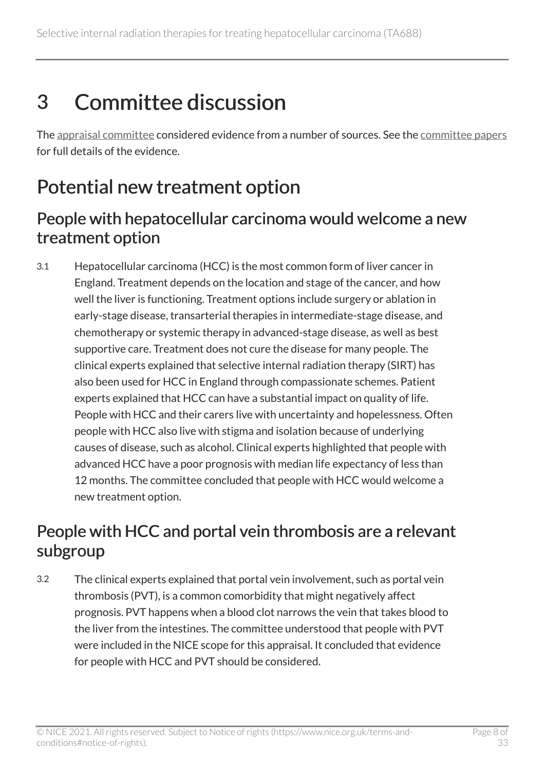## <span id="page-7-0"></span>3 Committee discussion

The [appraisal committee](#page-31-1) considered evidence from a number of sources. See the [committee papers](https://www.nice.org.uk/guidance/ta688/evidence) for full details of the evidence.

## <span id="page-7-1"></span>Potential new treatment option

### <span id="page-7-3"></span>People with hepatocellular carcinoma would welcome a new treatment option

3.1 Hepatocellular carcinoma (HCC) is the most common form of liver cancer in England. Treatment depends on the location and stage of the cancer, and how well the liver is functioning. Treatment options include surgery or ablation in early-stage disease, transarterial therapies in intermediate-stage disease, and chemotherapy or systemic therapy in advanced-stage disease, as well as best supportive care. Treatment does not cure the disease for many people. The clinical experts explained that selective internal radiation therapy (SIRT) has also been used for HCC in England through compassionate schemes. Patient experts explained that HCC can have a substantial impact on quality of life. People with HCC and their carers live with uncertainty and hopelessness. Often people with HCC also live with stigma and isolation because of underlying causes of disease, such as alcohol. Clinical experts highlighted that people with advanced HCC have a poor prognosis with median life expectancy of less than 12 months. The committee concluded that people with HCC would welcome a new treatment option.

## <span id="page-7-2"></span>People with HCC and portal vein thrombosis are a relevant subgroup

3.2 The clinical experts explained that portal vein involvement, such as portal vein thrombosis (PVT), is a common comorbidity that might negatively affect prognosis. PVT happens when a blood clot narrows the vein that takes blood to the liver from the intestines. The committee understood that people with PVT were included in the NICE scope for this appraisal. It concluded that evidence for people with HCC and PVT should be considered.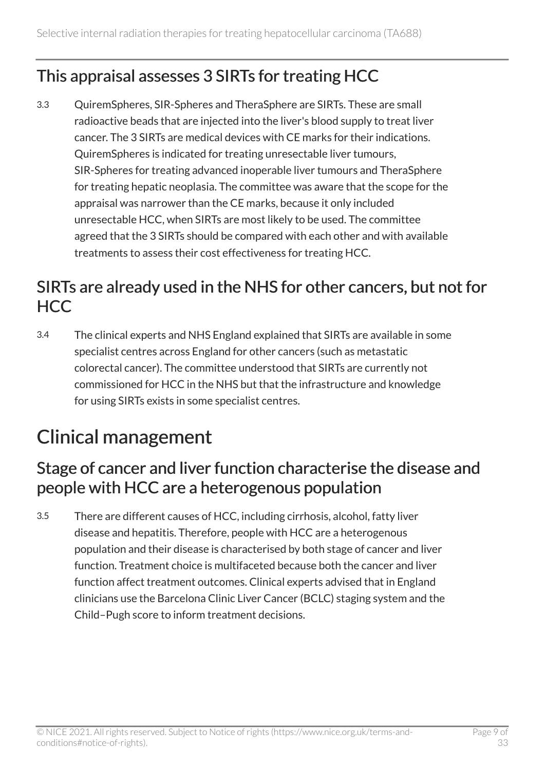## <span id="page-8-1"></span>This appraisal assesses 3 SIRTs for treating HCC

3.3 QuiremSpheres, SIR-Spheres and TheraSphere are SIRTs. These are small radioactive beads that are injected into the liver's blood supply to treat liver cancer. The 3 SIRTs are medical devices with CE marks for their indications. QuiremSpheres is indicated for treating unresectable liver tumours, SIR-Spheres for treating advanced inoperable liver tumours and TheraSphere for treating hepatic neoplasia. The committee was aware that the scope for the appraisal was narrower than the CE marks, because it only included unresectable HCC, when SIRTs are most likely to be used. The committee agreed that the 3 SIRTs should be compared with each other and with available treatments to assess their cost effectiveness for treating HCC.

## SIRTs are already used in the NHS for other cancers, but not for HCC

3.4 The clinical experts and NHS England explained that SIRTs are available in some specialist centres across England for other cancers (such as metastatic colorectal cancer). The committee understood that SIRTs are currently not commissioned for HCC in the NHS but that the infrastructure and knowledge for using SIRTs exists in some specialist centres.

## <span id="page-8-0"></span>Clinical management

## <span id="page-8-2"></span>Stage of cancer and liver function characterise the disease and people with HCC are a heterogenous population

3.5 There are different causes of HCC, including cirrhosis, alcohol, fatty liver disease and hepatitis. Therefore, people with HCC are a heterogenous population and their disease is characterised by both stage of cancer and liver function. Treatment choice is multifaceted because both the cancer and liver function affect treatment outcomes. Clinical experts advised that in England clinicians use the Barcelona Clinic Liver Cancer (BCLC) staging system and the Child–Pugh score to inform treatment decisions.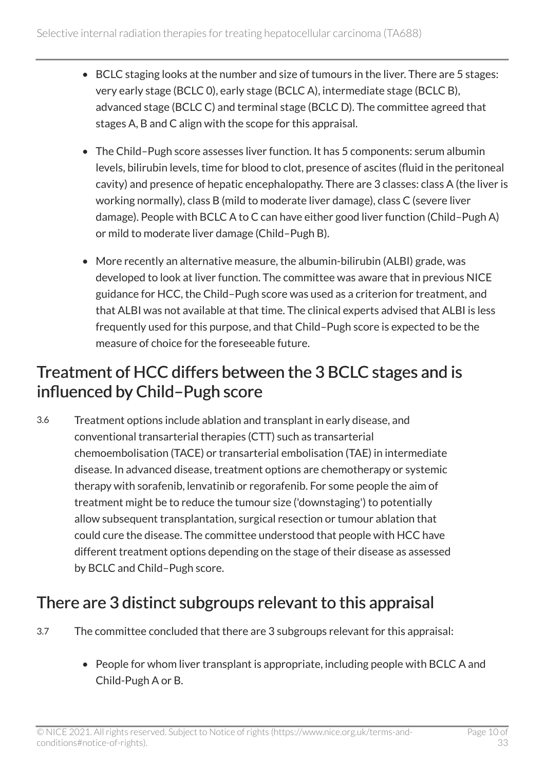- BCLC staging looks at the number and size of tumours in the liver. There are 5 stages: very early stage (BCLC 0), early stage (BCLC A), intermediate stage (BCLC B), advanced stage (BCLC C) and terminal stage (BCLC D). The committee agreed that stages A, B and C align with the scope for this appraisal.
- The Child–Pugh score assesses liver function. It has 5 components: serum albumin levels, bilirubin levels, time for blood to clot, presence of ascites (fluid in the peritoneal cavity) and presence of hepatic encephalopathy. There are 3 classes: class A (the liver is working normally), class B (mild to moderate liver damage), class C (severe liver damage). People with BCLC A to C can have either good liver function (Child–Pugh A) or mild to moderate liver damage (Child–Pugh B).
- More recently an alternative measure, the albumin-bilirubin (ALBI) grade, was developed to look at liver function. The committee was aware that in previous NICE guidance for HCC, the Child–Pugh score was used as a criterion for treatment, and that ALBI was not available at that time. The clinical experts advised that ALBI is less frequently used for this purpose, and that Child–Pugh score is expected to be the measure of choice for the foreseeable future.

## Treatment of HCC differs between the 3 BCLC stages and is influenced by Child–Pugh score

3.6 Treatment options include ablation and transplant in early disease, and conventional transarterial therapies (CTT) such as transarterial chemoembolisation (TACE) or transarterial embolisation (TAE) in intermediate disease. In advanced disease, treatment options are chemotherapy or systemic therapy with sorafenib, lenvatinib or regorafenib. For some people the aim of treatment might be to reduce the tumour size ('downstaging') to potentially allow subsequent transplantation, surgical resection or tumour ablation that could cure the disease. The committee understood that people with HCC have different treatment options depending on the stage of their disease as assessed by BCLC and Child–Pugh score.

## <span id="page-9-0"></span>There are 3 distinct subgroups relevant to this appraisal

- 3.7 The committee concluded that there are 3 subgroups relevant for this appraisal:
	- People for whom liver transplant is appropriate, including people with BCLC A and Child-Pugh A or B.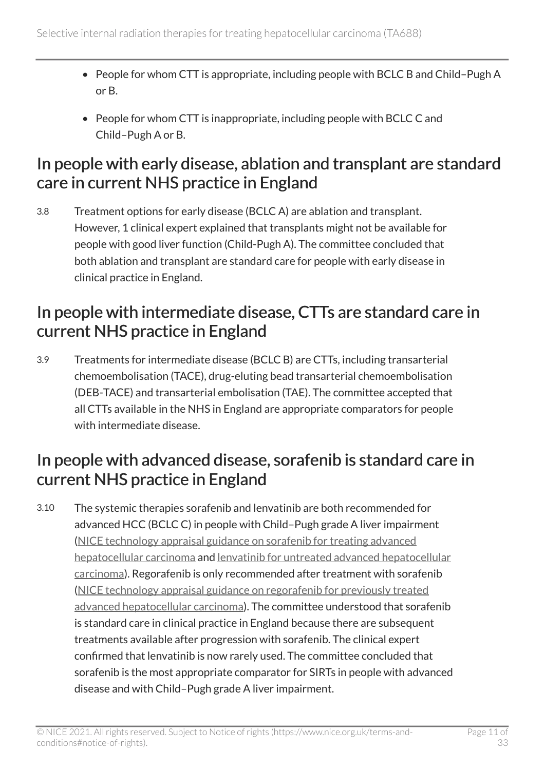- People for whom CTT is appropriate, including people with BCLC B and Child–Pugh A or B.
- People for whom CTT is inappropriate, including people with BCLC C and Child–Pugh A or B.

### <span id="page-10-1"></span>In people with early disease, ablation and transplant are standard care in current NHS practice in England

3.8 Treatment options for early disease (BCLC A) are ablation and transplant. However, 1 clinical expert explained that transplants might not be available for people with good liver function (Child-Pugh A). The committee concluded that both ablation and transplant are standard care for people with early disease in clinical practice in England.

### In people with intermediate disease, CTTs are standard care in current NHS practice in England

3.9 Treatments for intermediate disease (BCLC B) are CTTs, including transarterial chemoembolisation (TACE), drug-eluting bead transarterial chemoembolisation (DEB-TACE) and transarterial embolisation (TAE). The committee accepted that all CTTs available in the NHS in England are appropriate comparators for people with intermediate disease.

## <span id="page-10-0"></span>In people with advanced disease, sorafenib is standard care in current NHS practice in England

3.10 The systemic therapies sorafenib and lenvatinib are both recommended for advanced HCC (BCLC C) in people with Child–Pugh grade A liver impairment ([NICE technology appraisal guidance on sorafenib for treating advanced](https://www.nice.org.uk/guidance/ta474) [hepatocellular carcinoma](https://www.nice.org.uk/guidance/ta474) and [lenvatinib for untreated advanced hepatocellular](https://www.nice.org.uk/guidance/ta551)  [carcinoma\)](https://www.nice.org.uk/guidance/ta551). Regorafenib is only recommended after treatment with sorafenib ([NICE technology appraisal guidance on regorafenib for previously treated](https://www.nice.org.uk/guidance/ta555) [advanced hepatocellular carcinoma](https://www.nice.org.uk/guidance/ta555)). The committee understood that sorafenib is standard care in clinical practice in England because there are subsequent treatments available after progression with sorafenib. The clinical expert confirmed that lenvatinib is now rarely used. The committee concluded that sorafenib is the most appropriate comparator for SIRTs in people with advanced disease and with Child–Pugh grade A liver impairment.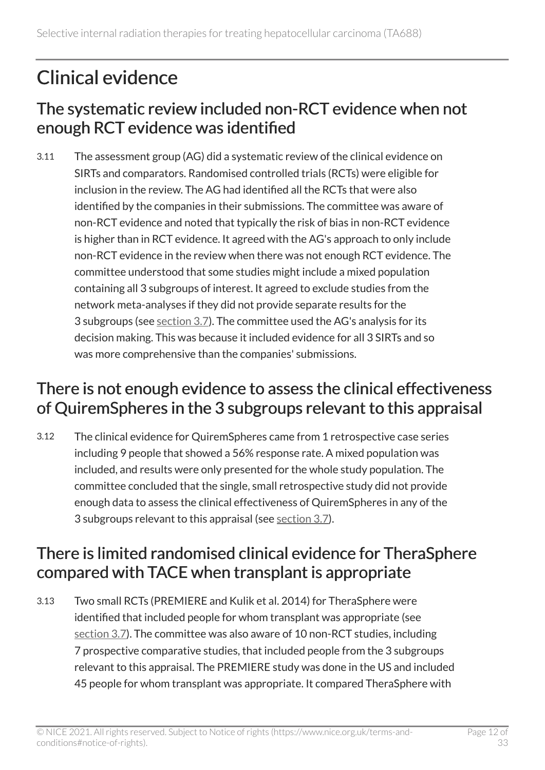## <span id="page-11-0"></span>Clinical evidence

## The systematic review included non-RCT evidence when not enough RCT evidence was identified

3.11 The assessment group (AG) did a systematic review of the clinical evidence on SIRTs and comparators. Randomised controlled trials (RCTs) were eligible for inclusion in the review. The AG had identified all the RCTs that were also identified by the companies in their submissions. The committee was aware of non-RCT evidence and noted that typically the risk of bias in non-RCT evidence is higher than in RCT evidence. It agreed with the AG's approach to only include non-RCT evidence in the review when there was not enough RCT evidence. The committee understood that some studies might include a mixed population containing all 3 subgroups of interest. It agreed to exclude studies from the network meta-analyses if they did not provide separate results for the 3 subgroups (see [section](#page-9-0) 3.7). The committee used the AG's analysis for its decision making. This was because it included evidence for all 3 SIRTs and so was more comprehensive than the companies' submissions.

## <span id="page-11-1"></span>There is not enough evidence to assess the clinical effectiveness of QuiremSpheres in the 3 subgroups relevant to this appraisal

3.12 The clinical evidence for QuiremSpheres came from 1 retrospective case series including 9 people that showed a 56% response rate. A mixed population was included, and results were only presented for the whole study population. The committee concluded that the single, small retrospective study did not provide enough data to assess the clinical effectiveness of QuiremSpheres in any of the 3 subgroups relevant to this appraisal (see [section](#page-9-0) 3.7).

## There is limited randomised clinical evidence for TheraSphere compared with TACE when transplant is appropriate

3.13 Two small RCTs (PREMIERE and Kulik et al. 2014) for TheraSphere were identified that included people for whom transplant was appropriate (see [section](#page-9-0) 3.7). The committee was also aware of 10 non-RCT studies, including 7 prospective comparative studies, that included people from the 3 subgroups relevant to this appraisal. The PREMIERE study was done in the US and included 45 people for whom transplant was appropriate. It compared TheraSphere with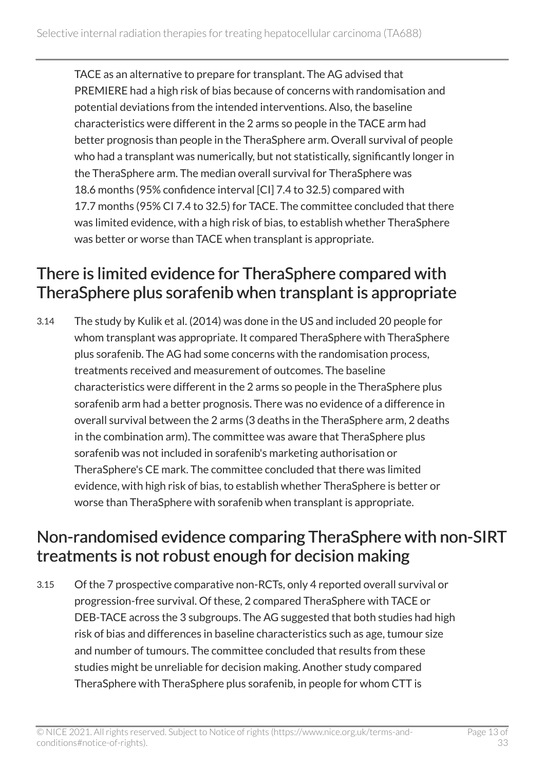TACE as an alternative to prepare for transplant. The AG advised that PREMIERE had a high risk of bias because of concerns with randomisation and potential deviations from the intended interventions. Also, the baseline characteristics were different in the 2 arms so people in the TACE arm had better prognosis than people in the TheraSphere arm. Overall survival of people who had a transplant was numerically, but not statistically, significantly longer in the TheraSphere arm. The median overall survival for TheraSphere was 18.6 months (95% confidence interval [CI] 7.4 to 32.5) compared with 17.7 months (95% CI 7.4 to 32.5) for TACE. The committee concluded that there was limited evidence, with a high risk of bias, to establish whether TheraSphere was better or worse than TACE when transplant is appropriate.

## There is limited evidence for TheraSphere compared with TheraSphere plus sorafenib when transplant is appropriate

3.14 The study by Kulik et al. (2014) was done in the US and included 20 people for whom transplant was appropriate. It compared TheraSphere with TheraSphere plus sorafenib. The AG had some concerns with the randomisation process, treatments received and measurement of outcomes. The baseline characteristics were different in the 2 arms so people in the TheraSphere plus sorafenib arm had a better prognosis. There was no evidence of a difference in overall survival between the 2 arms (3 deaths in the TheraSphere arm, 2 deaths in the combination arm). The committee was aware that TheraSphere plus sorafenib was not included in sorafenib's marketing authorisation or TheraSphere's CE mark. The committee concluded that there was limited evidence, with high risk of bias, to establish whether TheraSphere is better or worse than TheraSphere with sorafenib when transplant is appropriate.

## <span id="page-12-0"></span>Non-randomised evidence comparing TheraSphere with non-SIRT treatments is not robust enough for decision making

3.15 Of the 7 prospective comparative non-RCTs, only 4 reported overall survival or progression-free survival. Of these, 2 compared TheraSphere with TACE or DEB-TACE across the 3 subgroups. The AG suggested that both studies had high risk of bias and differences in baseline characteristics such as age, tumour size and number of tumours. The committee concluded that results from these studies might be unreliable for decision making. Another study compared TheraSphere with TheraSphere plus sorafenib, in people for whom CTT is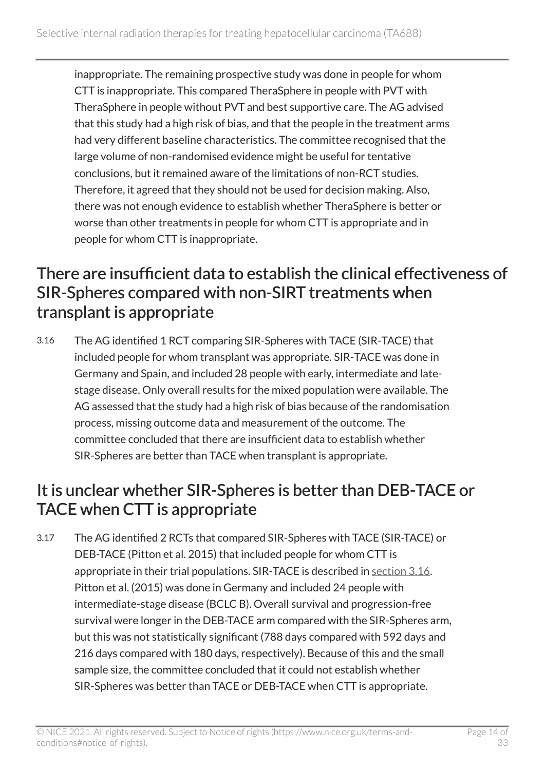inappropriate. The remaining prospective study was done in people for whom CTT is inappropriate. This compared TheraSphere in people with PVT with TheraSphere in people without PVT and best supportive care. The AG advised that this study had a high risk of bias, and that the people in the treatment arms had very different baseline characteristics. The committee recognised that the large volume of non-randomised evidence might be useful for tentative conclusions, but it remained aware of the limitations of non-RCT studies. Therefore, it agreed that they should not be used for decision making. Also, there was not enough evidence to establish whether TheraSphere is better or worse than other treatments in people for whom CTT is appropriate and in people for whom CTT is inappropriate.

### <span id="page-13-0"></span>There are insufficient data to establish the clinical effectiveness of SIR-Spheres compared with non-SIRT treatments when transplant is appropriate

3.16 The AG identified 1 RCT comparing SIR-Spheres with TACE (SIR-TACE) that included people for whom transplant was appropriate. SIR-TACE was done in Germany and Spain, and included 28 people with early, intermediate and latestage disease. Only overall results for the mixed population were available. The AG assessed that the study had a high risk of bias because of the randomisation process, missing outcome data and measurement of the outcome. The committee concluded that there are insufficient data to establish whether SIR-Spheres are better than TACE when transplant is appropriate.

## It is unclear whether SIR-Spheres is better than DEB-TACE or TACE when CTT is appropriate

3.17 The AG identified 2 RCTs that compared SIR-Spheres with TACE (SIR-TACE) or DEB-TACE (Pitton et al. 2015) that included people for whom CTT is appropriate in their trial populations. SIR-TACE is described in [section 3.16.](#page-13-0) Pitton et al. (2015) was done in Germany and included 24 people with intermediate-stage disease (BCLC B). Overall survival and progression-free survival were longer in the DEB-TACE arm compared with the SIR-Spheres arm, but this was not statistically significant (788 days compared with 592 days and 216 days compared with 180 days, respectively). Because of this and the small sample size, the committee concluded that it could not establish whether SIR-Spheres was better than TACE or DEB-TACE when CTT is appropriate.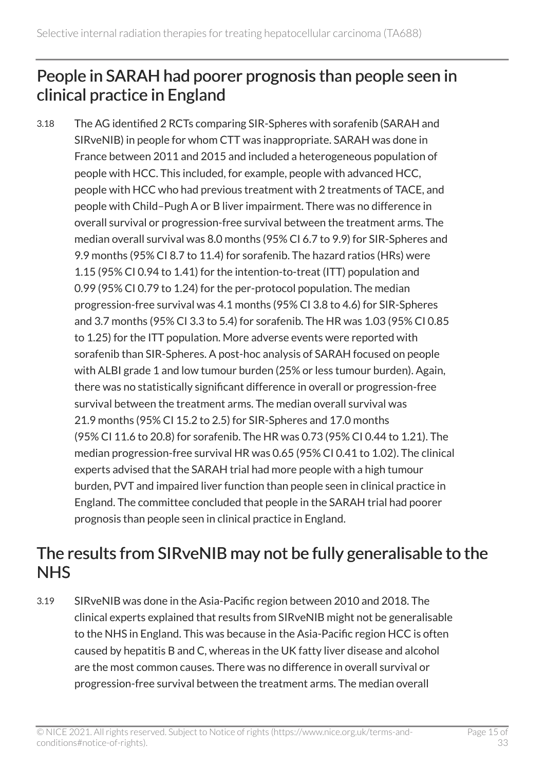## <span id="page-14-0"></span>People in SARAH had poorer prognosis than people seen in clinical practice in England

3.18 The AG identified 2 RCTs comparing SIR-Spheres with sorafenib (SARAH and SIRveNIB) in people for whom CTT was inappropriate. SARAH was done in France between 2011 and 2015 and included a heterogeneous population of people with HCC. This included, for example, people with advanced HCC, people with HCC who had previous treatment with 2 treatments of TACE, and people with Child–Pugh A or B liver impairment. There was no difference in overall survival or progression-free survival between the treatment arms. The median overall survival was 8.0 months (95% CI 6.7 to 9.9) for SIR-Spheres and 9.9 months (95% CI 8.7 to 11.4) for sorafenib. The hazard ratios (HRs) were 1.15 (95% CI 0.94 to 1.41) for the intention-to-treat (ITT) population and 0.99 (95% CI 0.79 to 1.24) for the per-protocol population. The median progression-free survival was 4.1 months (95% CI 3.8 to 4.6) for SIR-Spheres and 3.7 months (95% CI 3.3 to 5.4) for sorafenib. The HR was 1.03 (95% CI 0.85 to 1.25) for the ITT population. More adverse events were reported with sorafenib than SIR-Spheres. A post-hoc analysis of SARAH focused on people with ALBI grade 1 and low tumour burden (25% or less tumour burden). Again, there was no statistically significant difference in overall or progression-free survival between the treatment arms. The median overall survival was 21.9 months (95% CI 15.2 to 2.5) for SIR-Spheres and 17.0 months (95% CI 11.6 to 20.8) for sorafenib. The HR was 0.73 (95% CI 0.44 to 1.21). The median progression-free survival HR was 0.65 (95% CI 0.41 to 1.02). The clinical experts advised that the SARAH trial had more people with a high tumour burden, PVT and impaired liver function than people seen in clinical practice in England. The committee concluded that people in the SARAH trial had poorer prognosis than people seen in clinical practice in England.

## The results from SIRveNIB may not be fully generalisable to the **NHS**

3.19 SIRveNIB was done in the Asia-Pacific region between 2010 and 2018. The clinical experts explained that results from SIRveNIB might not be generalisable to the NHS in England. This was because in the Asia-Pacific region HCC is often caused by hepatitis B and C, whereas in the UK fatty liver disease and alcohol are the most common causes. There was no difference in overall survival or progression-free survival between the treatment arms. The median overall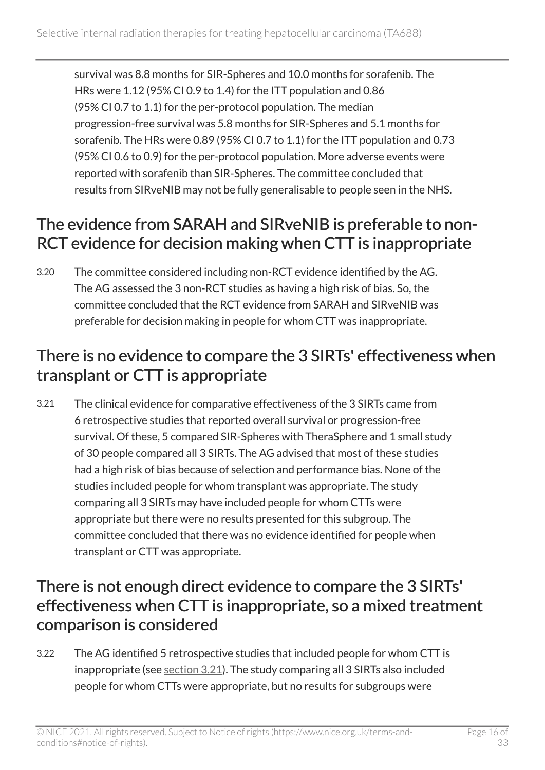survival was 8.8 months for SIR-Spheres and 10.0 months for sorafenib. The HRs were 1.12 (95% CI 0.9 to 1.4) for the ITT population and 0.86 (95% CI 0.7 to 1.1) for the per-protocol population. The median progression-free survival was 5.8 months for SIR-Spheres and 5.1 months for sorafenib. The HRs were 0.89 (95% CI 0.7 to 1.1) for the ITT population and 0.73 (95% CI 0.6 to 0.9) for the per-protocol population. More adverse events were reported with sorafenib than SIR-Spheres. The committee concluded that results from SIRveNIB may not be fully generalisable to people seen in the NHS.

## The evidence from SARAH and SIRveNIB is preferable to non-RCT evidence for decision making when CTT is inappropriate

3.20 The committee considered including non-RCT evidence identified by the AG. The AG assessed the 3 non-RCT studies as having a high risk of bias. So, the committee concluded that the RCT evidence from SARAH and SIRveNIB was preferable for decision making in people for whom CTT was inappropriate.

## <span id="page-15-0"></span>There is no evidence to compare the 3 SIRTs' effectiveness when transplant or CTT is appropriate

3.21 The clinical evidence for comparative effectiveness of the 3 SIRTs came from 6 retrospective studies that reported overall survival or progression-free survival. Of these, 5 compared SIR-Spheres with TheraSphere and 1 small study of 30 people compared all 3 SIRTs. The AG advised that most of these studies had a high risk of bias because of selection and performance bias. None of the studies included people for whom transplant was appropriate. The study comparing all 3 SIRTs may have included people for whom CTTs were appropriate but there were no results presented for this subgroup. The committee concluded that there was no evidence identified for people when transplant or CTT was appropriate.

### <span id="page-15-1"></span>There is not enough direct evidence to compare the 3 SIRTs' effectiveness when CTT is inappropriate, so a mixed treatment comparison is considered

3.22 The AG identified 5 retrospective studies that included people for whom CTT is inappropriate (see [section](#page-15-0) 3.21). The study comparing all 3 SIRTs also included people for whom CTTs were appropriate, but no results for subgroups were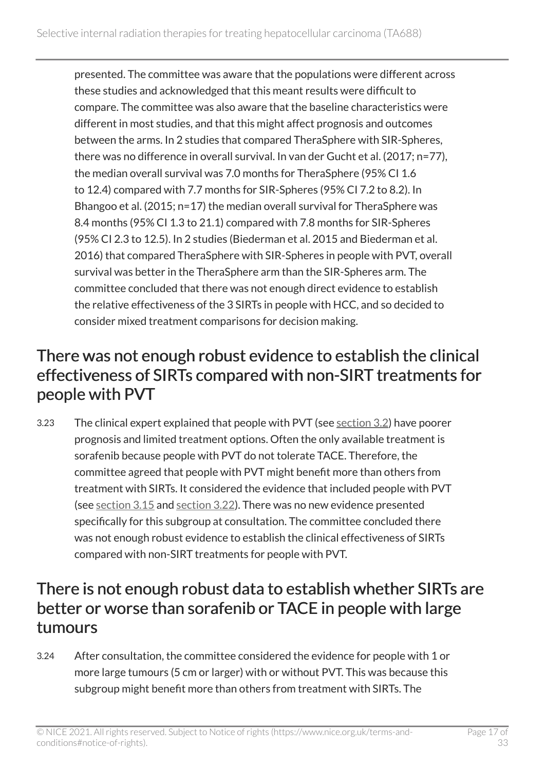presented. The committee was aware that the populations were different across these studies and acknowledged that this meant results were difficult to compare. The committee was also aware that the baseline characteristics were different in most studies, and that this might affect prognosis and outcomes between the arms. In 2 studies that compared TheraSphere with SIR-Spheres, there was no difference in overall survival. In van der Gucht et al. (2017; n=77), the median overall survival was 7.0 months for TheraSphere (95% CI 1.6 to 12.4) compared with 7.7 months for SIR-Spheres (95% CI 7.2 to 8.2). In Bhangoo et al. (2015; n=17) the median overall survival for TheraSphere was 8.4 months (95% CI 1.3 to 21.1) compared with 7.8 months for SIR-Spheres (95% CI 2.3 to 12.5). In 2 studies (Biederman et al. 2015 and Biederman et al. 2016) that compared TheraSphere with SIR-Spheres in people with PVT, overall survival was better in the TheraSphere arm than the SIR-Spheres arm. The committee concluded that there was not enough direct evidence to establish the relative effectiveness of the 3 SIRTs in people with HCC, and so decided to consider mixed treatment comparisons for decision making.

### There was not enough robust evidence to establish the clinical effectiveness of SIRTs compared with non-SIRT treatments for people with PVT

3.23 The clinical expert explained that people with PVT (see [section](#page-7-2) 3.2) have poorer prognosis and limited treatment options. Often the only available treatment is sorafenib because people with PVT do not tolerate TACE. Therefore, the committee agreed that people with PVT might benefit more than others from treatment with SIRTs. It considered the evidence that included people with PVT (see [section](#page-12-0) 3.15 and [section](#page-15-1) 3.22). There was no new evidence presented specifically for this subgroup at consultation. The committee concluded there was not enough robust evidence to establish the clinical effectiveness of SIRTs compared with non-SIRT treatments for people with PVT.

### <span id="page-16-0"></span>There is not enough robust data to establish whether SIRTs are better or worse than sorafenib or TACE in people with large tumours

3.24 After consultation, the committee considered the evidence for people with 1 or more large tumours (5 cm or larger) with or without PVT. This was because this subgroup might benefit more than others from treatment with SIRTs. The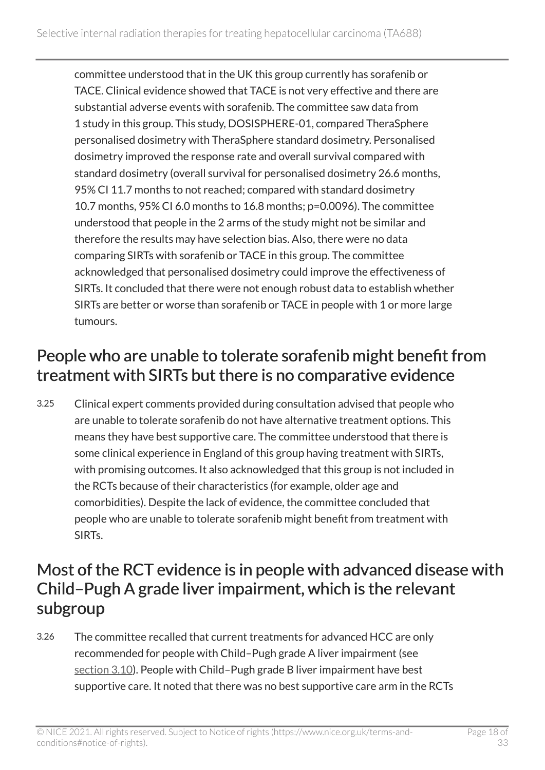committee understood that in the UK this group currently has sorafenib or TACE. Clinical evidence showed that TACE is not very effective and there are substantial adverse events with sorafenib. The committee saw data from 1 study in this group. This study, DOSISPHERE-01, compared TheraSphere personalised dosimetry with TheraSphere standard dosimetry. Personalised dosimetry improved the response rate and overall survival compared with standard dosimetry (overall survival for personalised dosimetry 26.6 months, 95% CI 11.7 months to not reached; compared with standard dosimetry 10.7 months, 95% CI 6.0 months to 16.8 months; p=0.0096). The committee understood that people in the 2 arms of the study might not be similar and therefore the results may have selection bias. Also, there were no data comparing SIRTs with sorafenib or TACE in this group. The committee acknowledged that personalised dosimetry could improve the effectiveness of SIRTs. It concluded that there were not enough robust data to establish whether SIRTs are better or worse than sorafenib or TACE in people with 1 or more large tumours.

## People who are unable to tolerate sorafenib might benefit from treatment with SIRTs but there is no comparative evidence

3.25 Clinical expert comments provided during consultation advised that people who are unable to tolerate sorafenib do not have alternative treatment options. This means they have best supportive care. The committee understood that there is some clinical experience in England of this group having treatment with SIRTs, with promising outcomes. It also acknowledged that this group is not included in the RCTs because of their characteristics (for example, older age and comorbidities). Despite the lack of evidence, the committee concluded that people who are unable to tolerate sorafenib might benefit from treatment with SIRTs.

## <span id="page-17-0"></span>Most of the RCT evidence is in people with advanced disease with Child–Pugh A grade liver impairment, which is the relevant subgroup

3.26 The committee recalled that current treatments for advanced HCC are only recommended for people with Child–Pugh grade A liver impairment (see [section](#page-10-0) 3.10). People with Child-Pugh grade B liver impairment have best supportive care. It noted that there was no best supportive care arm in the RCTs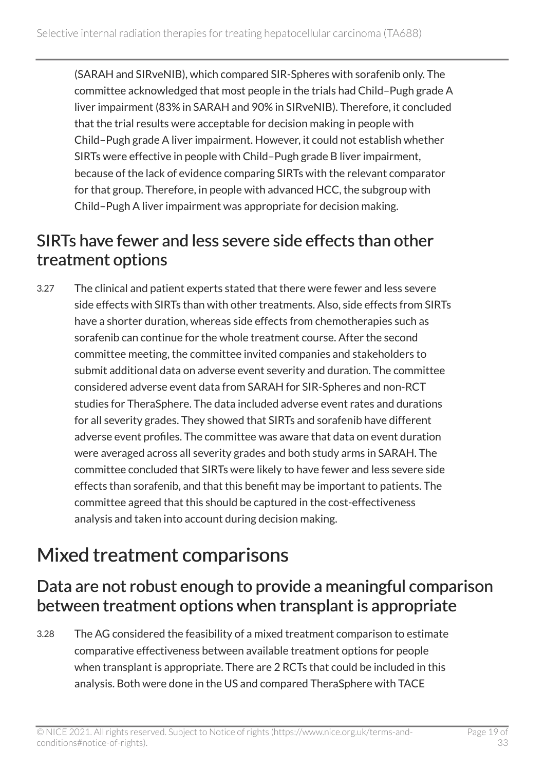(SARAH and SIRveNIB), which compared SIR-Spheres with sorafenib only. The committee acknowledged that most people in the trials had Child–Pugh grade A liver impairment (83% in SARAH and 90% in SIRveNIB). Therefore, it concluded that the trial results were acceptable for decision making in people with Child–Pugh grade A liver impairment. However, it could not establish whether SIRTs were effective in people with Child–Pugh grade B liver impairment, because of the lack of evidence comparing SIRTs with the relevant comparator for that group. Therefore, in people with advanced HCC, the subgroup with Child–Pugh A liver impairment was appropriate for decision making.

## <span id="page-18-1"></span>SIRTs have fewer and less severe side effects than other treatment options

3.27 The clinical and patient experts stated that there were fewer and less severe side effects with SIRTs than with other treatments. Also, side effects from SIRTs have a shorter duration, whereas side effects from chemotherapies such as sorafenib can continue for the whole treatment course. After the second committee meeting, the committee invited companies and stakeholders to submit additional data on adverse event severity and duration. The committee considered adverse event data from SARAH for SIR-Spheres and non-RCT studies for TheraSphere. The data included adverse event rates and durations for all severity grades. They showed that SIRTs and sorafenib have different adverse event profiles. The committee was aware that data on event duration were averaged across all severity grades and both study arms in SARAH. The committee concluded that SIRTs were likely to have fewer and less severe side effects than sorafenib, and that this benefit may be important to patients. The committee agreed that this should be captured in the cost-effectiveness analysis and taken into account during decision making.

## <span id="page-18-0"></span>Mixed treatment comparisons

### Data are not robust enough to provide a meaningful comparison between treatment options when transplant is appropriate

3.28 The AG considered the feasibility of a mixed treatment comparison to estimate comparative effectiveness between available treatment options for people when transplant is appropriate. There are 2 RCTs that could be included in this analysis. Both were done in the US and compared TheraSphere with TACE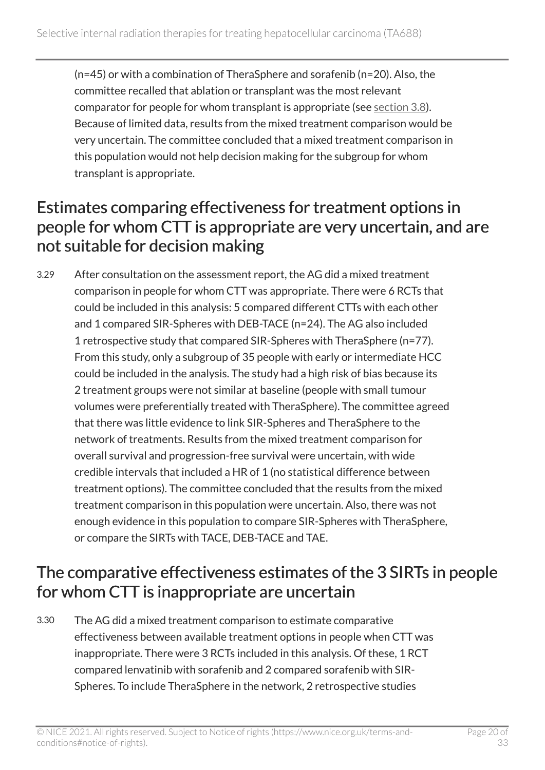(n=45) or with a combination of TheraSphere and sorafenib (n=20). Also, the committee recalled that ablation or transplant was the most relevant comparator for people for whom transplant is appropriate (see [section](#page-10-1) 3.8). Because of limited data, results from the mixed treatment comparison would be very uncertain. The committee concluded that a mixed treatment comparison in this population would not help decision making for the subgroup for whom transplant is appropriate.

### <span id="page-19-0"></span>Estimates comparing effectiveness for treatment options in people for whom CTT is appropriate are very uncertain, and are not suitable for decision making

3.29 After consultation on the assessment report, the AG did a mixed treatment comparison in people for whom CTT was appropriate. There were 6 RCTs that could be included in this analysis: 5 compared different CTTs with each other and 1 compared SIR-Spheres with DEB-TACE (n=24). The AG also included 1 retrospective study that compared SIR-Spheres with TheraSphere (n=77). From this study, only a subgroup of 35 people with early or intermediate HCC could be included in the analysis. The study had a high risk of bias because its 2 treatment groups were not similar at baseline (people with small tumour volumes were preferentially treated with TheraSphere). The committee agreed that there was little evidence to link SIR-Spheres and TheraSphere to the network of treatments. Results from the mixed treatment comparison for overall survival and progression-free survival were uncertain, with wide credible intervals that included a HR of 1 (no statistical difference between treatment options). The committee concluded that the results from the mixed treatment comparison in this population were uncertain. Also, there was not enough evidence in this population to compare SIR-Spheres with TheraSphere, or compare the SIRTs with TACE, DEB-TACE and TAE.

## The comparative effectiveness estimates of the 3 SIRTs in people for whom CTT is inappropriate are uncertain

3.30 The AG did a mixed treatment comparison to estimate comparative effectiveness between available treatment options in people when CTT was inappropriate. There were 3 RCTs included in this analysis. Of these, 1 RCT compared lenvatinib with sorafenib and 2 compared sorafenib with SIR-Spheres. To include TheraSphere in the network, 2 retrospective studies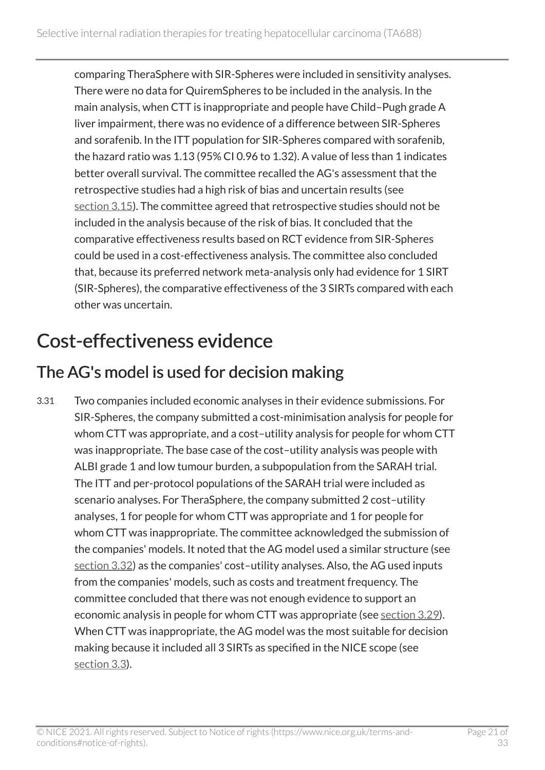comparing TheraSphere with SIR-Spheres were included in sensitivity analyses. There were no data for QuiremSpheres to be included in the analysis. In the main analysis, when CTT is inappropriate and people have Child–Pugh grade A liver impairment, there was no evidence of a difference between SIR-Spheres and sorafenib. In the ITT population for SIR-Spheres compared with sorafenib, the hazard ratio was 1.13 (95% CI 0.96 to 1.32). A value of less than 1 indicates better overall survival. The committee recalled the AG's assessment that the retrospective studies had a high risk of bias and uncertain results (see [section](#page-12-0) 3.15). The committee agreed that retrospective studies should not be included in the analysis because of the risk of bias. It concluded that the comparative effectiveness results based on RCT evidence from SIR-Spheres could be used in a cost-effectiveness analysis. The committee also concluded that, because its preferred network meta-analysis only had evidence for 1 SIRT (SIR-Spheres), the comparative effectiveness of the 3 SIRTs compared with each other was uncertain.

## <span id="page-20-0"></span>Cost-effectiveness evidence

## The AG's model is used for decision making

3.31 Two companies included economic analyses in their evidence submissions. For SIR-Spheres, the company submitted a cost-minimisation analysis for people for whom CTT was appropriate, and a cost–utility analysis for people for whom CTT was inappropriate. The base case of the cost–utility analysis was people with ALBI grade 1 and low tumour burden, a subpopulation from the SARAH trial. The ITT and per-protocol populations of the SARAH trial were included as scenario analyses. For TheraSphere, the company submitted 2 cost–utility analyses, 1 for people for whom CTT was appropriate and 1 for people for whom CTT was inappropriate. The committee acknowledged the submission of the companies' models. It noted that the AG model used a similar structure (see [section](#page-21-0) 3.32) as the companies' cost–utility analyses. Also, the AG used inputs from the companies' models, such as costs and treatment frequency. The committee concluded that there was not enough evidence to support an economic analysis in people for whom CTT was appropriate (see [section](#page-19-0) 3.29). When CTT was inappropriate, the AG model was the most suitable for decision making because it included all 3 SIRTs as specified in the NICE scope (see [section](#page-8-1) 3.3).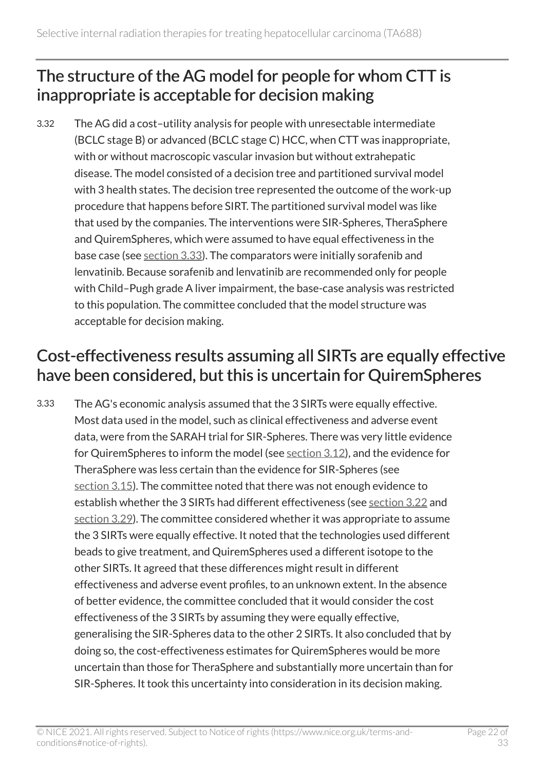## <span id="page-21-0"></span>The structure of the AG model for people for whom CTT is inappropriate is acceptable for decision making

3.32 The AG did a cost–utility analysis for people with unresectable intermediate (BCLC stage B) or advanced (BCLC stage C) HCC, when CTT was inappropriate, with or without macroscopic vascular invasion but without extrahepatic disease. The model consisted of a decision tree and partitioned survival model with 3 health states. The decision tree represented the outcome of the work-up procedure that happens before SIRT. The partitioned survival model was like that used by the companies. The interventions were SIR-Spheres, TheraSphere and QuiremSpheres, which were assumed to have equal effectiveness in the base case (see [section](#page-21-1) 3.33). The comparators were initially sorafenib and lenvatinib. Because sorafenib and lenvatinib are recommended only for people with Child–Pugh grade A liver impairment, the base-case analysis was restricted to this population. The committee concluded that the model structure was acceptable for decision making.

## <span id="page-21-1"></span>Cost-effectiveness results assuming all SIRTs are equally effective have been considered, but this is uncertain for QuiremSpheres

3.33 The AG's economic analysis assumed that the 3 SIRTs were equally effective. Most data used in the model, such as clinical effectiveness and adverse event data, were from the SARAH trial for SIR-Spheres. There was very little evidence for QuiremSpheres to inform the model (see [section](#page-11-1) 3.12), and the evidence for TheraSphere was less certain than the evidence for SIR-Spheres (see [section](#page-12-0) 3.15). The committee noted that there was not enough evidence to establish whether the 3 SIRTs had different effectiveness (see [section](#page-15-1) 3.22 and [section](#page-19-0) 3.29). The committee considered whether it was appropriate to assume the 3 SIRTs were equally effective. It noted that the technologies used different beads to give treatment, and QuiremSpheres used a different isotope to the other SIRTs. It agreed that these differences might result in different effectiveness and adverse event profiles, to an unknown extent. In the absence of better evidence, the committee concluded that it would consider the cost effectiveness of the 3 SIRTs by assuming they were equally effective, generalising the SIR-Spheres data to the other 2 SIRTs. It also concluded that by doing so, the cost-effectiveness estimates for QuiremSpheres would be more uncertain than those for TheraSphere and substantially more uncertain than for SIR-Spheres. It took this uncertainty into consideration in its decision making.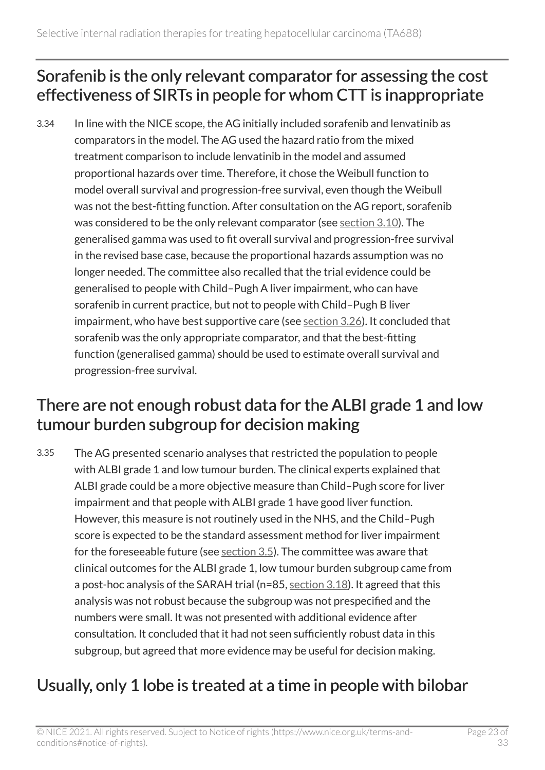## <span id="page-22-0"></span>Sorafenib is the only relevant comparator for assessing the cost effectiveness of SIRTs in people for whom CTT is inappropriate

3.34 In line with the NICE scope, the AG initially included sorafenib and lenvatinib as comparators in the model. The AG used the hazard ratio from the mixed treatment comparison to include lenvatinib in the model and assumed proportional hazards over time. Therefore, it chose the Weibull function to model overall survival and progression-free survival, even though the Weibull was not the best-fitting function. After consultation on the AG report, sorafenib was considered to be the only relevant comparator (see [section](#page-10-0) 3.10). The generalised gamma was used to fit overall survival and progression-free survival in the revised base case, because the proportional hazards assumption was no longer needed. The committee also recalled that the trial evidence could be generalised to people with Child–Pugh A liver impairment, who can have sorafenib in current practice, but not to people with Child–Pugh B liver impairment, who have best supportive care (see [section](#page-17-0) 3.26). It concluded that sorafenib was the only appropriate comparator, and that the best-fitting function (generalised gamma) should be used to estimate overall survival and progression-free survival.

## <span id="page-22-1"></span>There are not enough robust data for the ALBI grade 1 and low tumour burden subgroup for decision making

3.35 The AG presented scenario analyses that restricted the population to people with ALBI grade 1 and low tumour burden. The clinical experts explained that ALBI grade could be a more objective measure than Child–Pugh score for liver impairment and that people with ALBI grade 1 have good liver function. However, this measure is not routinely used in the NHS, and the Child–Pugh score is expected to be the standard assessment method for liver impairment for the foreseeable future (see [section](#page-8-2) 3.5). The committee was aware that clinical outcomes for the ALBI grade 1, low tumour burden subgroup came from a post-hoc analysis of the SARAH trial (n=85, [section](#page-14-0) 3.18). It agreed that this analysis was not robust because the subgroup was not prespecified and the numbers were small. It was not presented with additional evidence after consultation. It concluded that it had not seen sufficiently robust data in this subgroup, but agreed that more evidence may be useful for decision making.

## Usually, only 1 lobe is treated at a time in people with bilobar

© NICE 2021. All rights reserved. Subject to Notice of rights (https://www.nice.org.uk/terms-andconditions#notice-of-rights).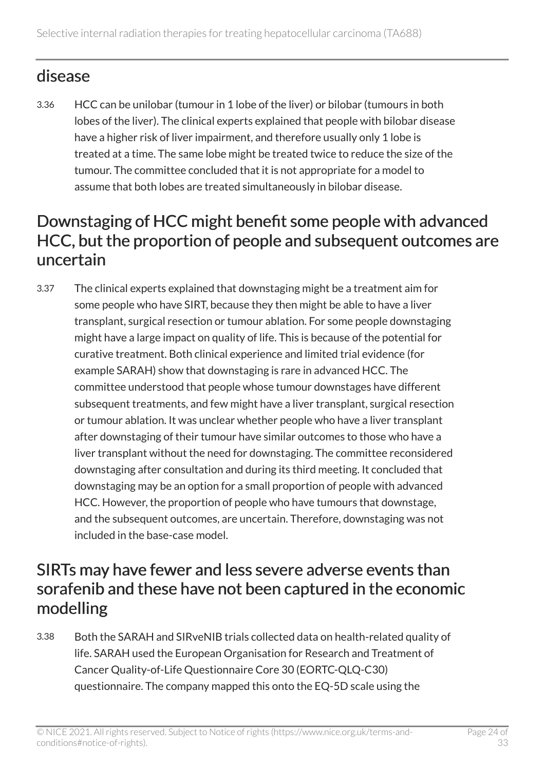## disease

3.36 HCC can be unilobar (tumour in 1 lobe of the liver) or bilobar (tumours in both lobes of the liver). The clinical experts explained that people with bilobar disease have a higher risk of liver impairment, and therefore usually only 1 lobe is treated at a time. The same lobe might be treated twice to reduce the size of the tumour. The committee concluded that it is not appropriate for a model to assume that both lobes are treated simultaneously in bilobar disease.

### <span id="page-23-0"></span>Downstaging of HCC might benefit some people with advanced HCC, but the proportion of people and subsequent outcomes are uncertain

3.37 The clinical experts explained that downstaging might be a treatment aim for some people who have SIRT, because they then might be able to have a liver transplant, surgical resection or tumour ablation. For some people downstaging might have a large impact on quality of life. This is because of the potential for curative treatment. Both clinical experience and limited trial evidence (for example SARAH) show that downstaging is rare in advanced HCC. The committee understood that people whose tumour downstages have different subsequent treatments, and few might have a liver transplant, surgical resection or tumour ablation. It was unclear whether people who have a liver transplant after downstaging of their tumour have similar outcomes to those who have a liver transplant without the need for downstaging. The committee reconsidered downstaging after consultation and during its third meeting. It concluded that downstaging may be an option for a small proportion of people with advanced HCC. However, the proportion of people who have tumours that downstage, and the subsequent outcomes, are uncertain. Therefore, downstaging was not included in the base-case model.

### SIRTs may have fewer and less severe adverse events than sorafenib and these have not been captured in the economic modelling

3.38 Both the SARAH and SIRveNIB trials collected data on health-related quality of life. SARAH used the European Organisation for Research and Treatment of Cancer Quality-of-Life Questionnaire Core 30 (EORTC-QLQ-C30) questionnaire. The company mapped this onto the EQ-5D scale using the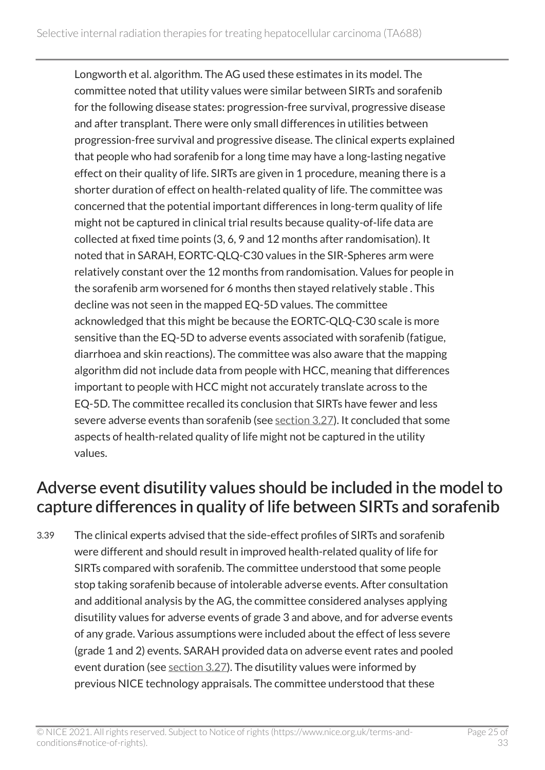Longworth et al. algorithm. The AG used these estimates in its model. The committee noted that utility values were similar between SIRTs and sorafenib for the following disease states: progression-free survival, progressive disease and after transplant. There were only small differences in utilities between progression-free survival and progressive disease. The clinical experts explained that people who had sorafenib for a long time may have a long-lasting negative effect on their quality of life. SIRTs are given in 1 procedure, meaning there is a shorter duration of effect on health-related quality of life. The committee was concerned that the potential important differences in long-term quality of life might not be captured in clinical trial results because quality-of-life data are collected at fixed time points (3, 6, 9 and 12 months after randomisation). It noted that in SARAH, EORTC-QLQ-C30 values in the SIR-Spheres arm were relatively constant over the 12 months from randomisation. Values for people in the sorafenib arm worsened for 6 months then stayed relatively stable . This decline was not seen in the mapped EQ-5D values. The committee acknowledged that this might be because the EORTC-QLQ-C30 scale is more sensitive than the EQ-5D to adverse events associated with sorafenib (fatigue, diarrhoea and skin reactions). The committee was also aware that the mapping algorithm did not include data from people with HCC, meaning that differences important to people with HCC might not accurately translate across to the EQ-5D. The committee recalled its conclusion that SIRTs have fewer and less severe adverse events than sorafenib (see [section](#page-18-1) 3.27). It concluded that some aspects of health-related quality of life might not be captured in the utility values.

## Adverse event disutility values should be included in the model to capture differences in quality of life between SIRTs and sorafenib

3.39 The clinical experts advised that the side-effect profiles of SIRTs and sorafenib were different and should result in improved health-related quality of life for SIRTs compared with sorafenib. The committee understood that some people stop taking sorafenib because of intolerable adverse events. After consultation and additional analysis by the AG, the committee considered analyses applying disutility values for adverse events of grade 3 and above, and for adverse events of any grade. Various assumptions were included about the effect of less severe (grade 1 and 2) events. SARAH provided data on adverse event rates and pooled event duration (see [section](#page-18-1) 3.27). The disutility values were informed by previous NICE technology appraisals. The committee understood that these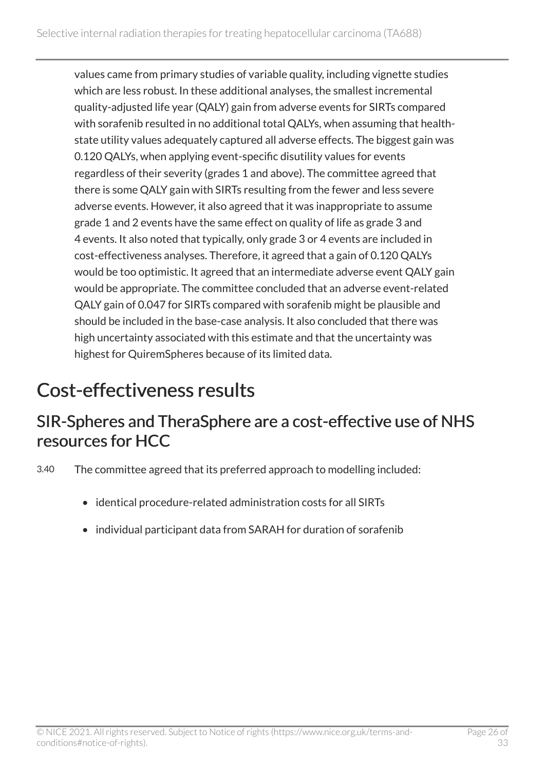values came from primary studies of variable quality, including vignette studies which are less robust. In these additional analyses, the smallest incremental quality-adjusted life year (QALY) gain from adverse events for SIRTs compared with sorafenib resulted in no additional total QALYs, when assuming that healthstate utility values adequately captured all adverse effects. The biggest gain was 0.120 QALYs, when applying event-specific disutility values for events regardless of their severity (grades 1 and above). The committee agreed that there is some QALY gain with SIRTs resulting from the fewer and less severe adverse events. However, it also agreed that it was inappropriate to assume grade 1 and 2 events have the same effect on quality of life as grade 3 and 4 events. It also noted that typically, only grade 3 or 4 events are included in cost-effectiveness analyses. Therefore, it agreed that a gain of 0.120 QALYs would be too optimistic. It agreed that an intermediate adverse event QALY gain would be appropriate. The committee concluded that an adverse event-related QALY gain of 0.047 for SIRTs compared with sorafenib might be plausible and should be included in the base-case analysis. It also concluded that there was high uncertainty associated with this estimate and that the uncertainty was highest for QuiremSpheres because of its limited data.

## <span id="page-25-0"></span>Cost-effectiveness results

### SIR-Spheres and TheraSphere are a cost-effective use of NHS resources for HCC

3.40 The committee agreed that its preferred approach to modelling included:

- identical procedure-related administration costs for all SIRTs
- individual participant data from SARAH for duration of sorafenib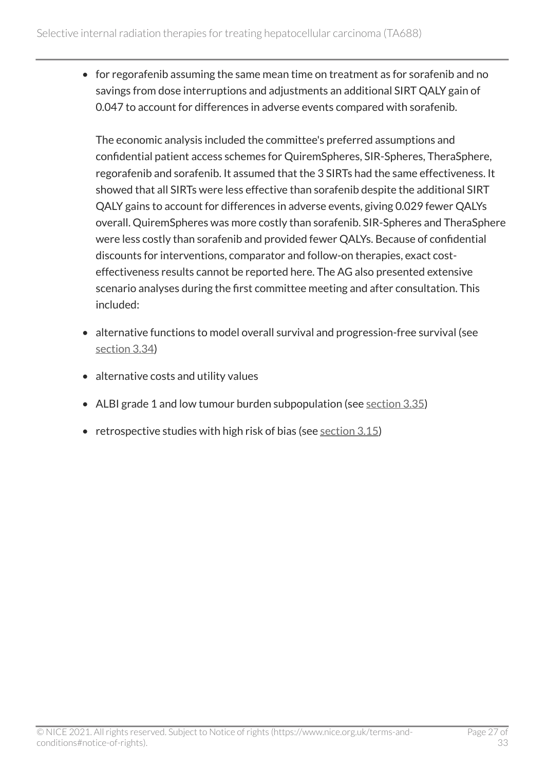• for regorafenib assuming the same mean time on treatment as for sorafenib and no savings from dose interruptions and adjustments an additional SIRT QALY gain of 0.047 to account for differences in adverse events compared with sorafenib.

The economic analysis included the committee's preferred assumptions and confidential patient access schemes for QuiremSpheres, SIR-Spheres, TheraSphere, regorafenib and sorafenib. It assumed that the 3 SIRTs had the same effectiveness. It showed that all SIRTs were less effective than sorafenib despite the additional SIRT QALY gains to account for differences in adverse events, giving 0.029 fewer QALYs overall. QuiremSpheres was more costly than sorafenib. SIR-Spheres and TheraSphere were less costly than sorafenib and provided fewer QALYs. Because of confidential discounts for interventions, comparator and follow-on therapies, exact costeffectiveness results cannot be reported here. The AG also presented extensive scenario analyses during the first committee meeting and after consultation. This included:

- alternative functions to model overall survival and progression-free survival (see [section](#page-22-0) 3.34)
- alternative costs and utility values
- ALBI grade 1 and low tumour burden subpopulation (see [section](#page-22-1) 3.35)
- retrospective studies with high risk of bias (see [section](#page-12-0) 3.15)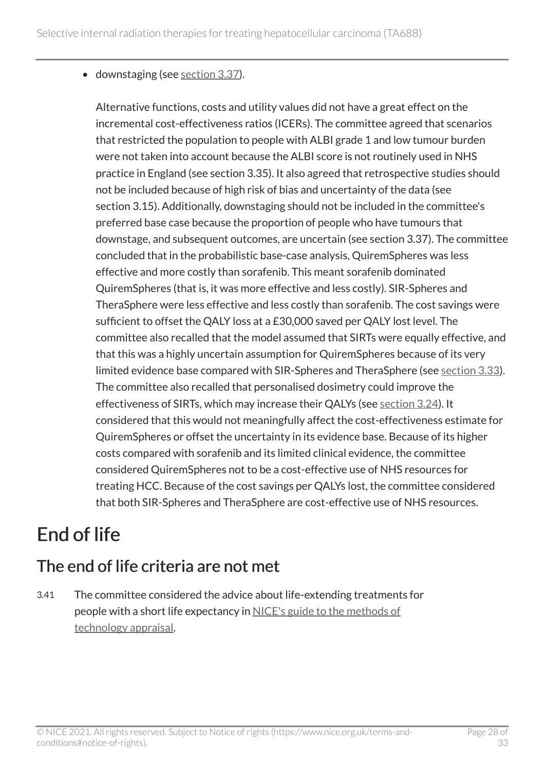• downstaging (see [section](#page-23-0) 3.37).

Alternative functions, costs and utility values did not have a great effect on the incremental cost-effectiveness ratios (ICERs). The committee agreed that scenarios that restricted the population to people with ALBI grade 1 and low tumour burden were not taken into account because the ALBI score is not routinely used in NHS practice in England (see section 3.35). It also agreed that retrospective studies should not be included because of high risk of bias and uncertainty of the data (see section 3.15). Additionally, downstaging should not be included in the committee's preferred base case because the proportion of people who have tumours that downstage, and subsequent outcomes, are uncertain (see section 3.37). The committee concluded that in the probabilistic base-case analysis, QuiremSpheres was less effective and more costly than sorafenib. This meant sorafenib dominated QuiremSpheres (that is, it was more effective and less costly). SIR-Spheres and TheraSphere were less effective and less costly than sorafenib. The cost savings were sufficient to offset the QALY loss at a £30,000 saved per QALY lost level. The committee also recalled that the model assumed that SIRTs were equally effective, and that this was a highly uncertain assumption for QuiremSpheres because of its very limited evidence base compared with SIR-Spheres and TheraSphere (see [section](#page-21-1) 3.33). The committee also recalled that personalised dosimetry could improve the effectiveness of SIRTs, which may increase their QALYs (see [section](#page-16-0) 3.24). It considered that this would not meaningfully affect the cost-effectiveness estimate for QuiremSpheres or offset the uncertainty in its evidence base. Because of its higher costs compared with sorafenib and its limited clinical evidence, the committee considered QuiremSpheres not to be a cost-effective use of NHS resources for treating HCC. Because of the cost savings per QALYs lost, the committee considered that both SIR-Spheres and TheraSphere are cost-effective use of NHS resources.

## <span id="page-27-0"></span>End of life

## The end of life criteria are not met

3.41 The committee considered the advice about life-extending treatments for people with a short life expectancy in [NICE's guide to the methods of](https://www.nice.org.uk/process/pmg9/chapter/the-appraisal-of-the-evidence-and-structured-decision-making)  [technology appraisal](https://www.nice.org.uk/process/pmg9/chapter/the-appraisal-of-the-evidence-and-structured-decision-making).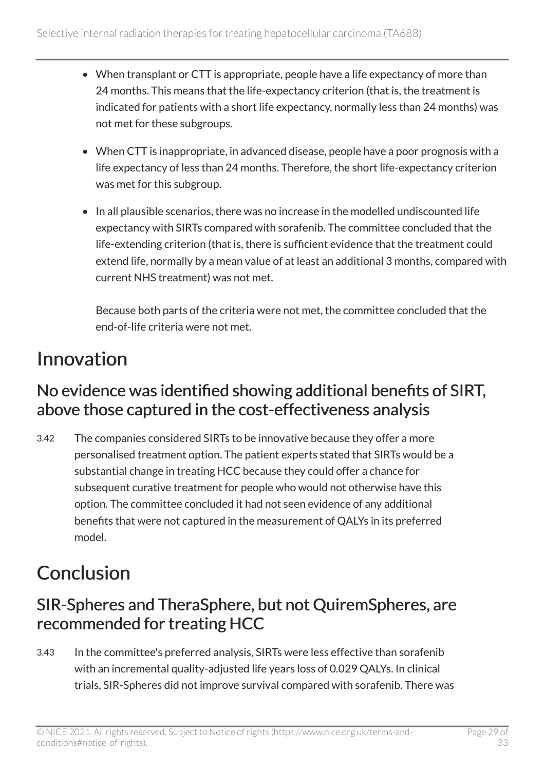- When transplant or CTT is appropriate, people have a life expectancy of more than 24 months. This means that the life-expectancy criterion (that is, the treatment is indicated for patients with a short life expectancy, normally less than 24 months) was not met for these subgroups.
- When CTT is inappropriate, in advanced disease, people have a poor prognosis with a life expectancy of less than 24 months. Therefore, the short life-expectancy criterion was met for this subgroup.
- In all plausible scenarios, there was no increase in the modelled undiscounted life expectancy with SIRTs compared with sorafenib. The committee concluded that the life-extending criterion (that is, there is sufficient evidence that the treatment could extend life, normally by a mean value of at least an additional 3 months, compared with current NHS treatment) was not met.

Because both parts of the criteria were not met, the committee concluded that the end-of-life criteria were not met.

## <span id="page-28-0"></span>Innovation

## No evidence was identified showing additional benefits of SIRT, above those captured in the cost-effectiveness analysis

3.42 The companies considered SIRTs to be innovative because they offer a more personalised treatment option. The patient experts stated that SIRTs would be a substantial change in treating HCC because they could offer a chance for subsequent curative treatment for people who would not otherwise have this option. The committee concluded it had not seen evidence of any additional benefits that were not captured in the measurement of QALYs in its preferred model.

## <span id="page-28-1"></span>**Conclusion**

## SIR-Spheres and TheraSphere, but not QuiremSpheres, are recommended for treating HCC

3.43 In the committee's preferred analysis, SIRTs were less effective than sorafenib with an incremental quality-adjusted life years loss of 0.029 QALYs. In clinical trials, SIR-Spheres did not improve survival compared with sorafenib. There was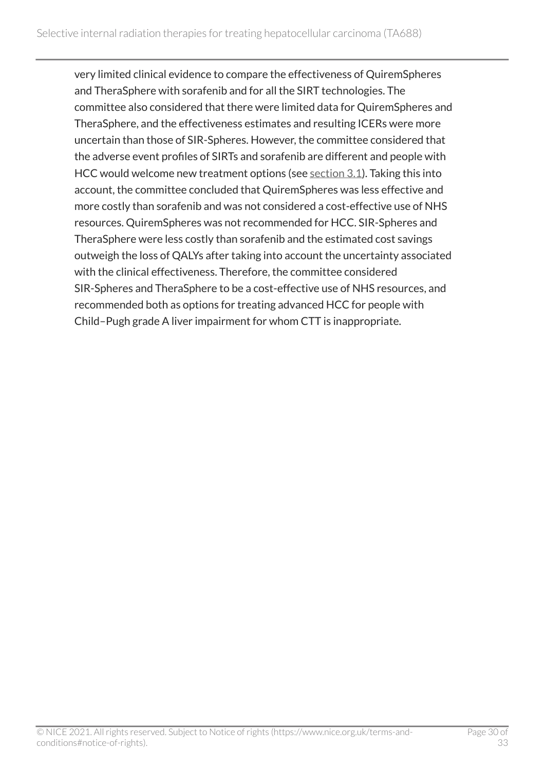very limited clinical evidence to compare the effectiveness of QuiremSpheres and TheraSphere with sorafenib and for all the SIRT technologies. The committee also considered that there were limited data for QuiremSpheres and TheraSphere, and the effectiveness estimates and resulting ICERs were more uncertain than those of SIR-Spheres. However, the committee considered that the adverse event profiles of SIRTs and sorafenib are different and people with HCC would welcome new treatment options (see [section](#page-7-3) 3.1). Taking this into account, the committee concluded that QuiremSpheres was less effective and more costly than sorafenib and was not considered a cost-effective use of NHS resources. QuiremSpheres was not recommended for HCC. SIR-Spheres and TheraSphere were less costly than sorafenib and the estimated cost savings outweigh the loss of QALYs after taking into account the uncertainty associated with the clinical effectiveness. Therefore, the committee considered SIR-Spheres and TheraSphere to be a cost-effective use of NHS resources, and recommended both as options for treating advanced HCC for people with Child–Pugh grade A liver impairment for whom CTT is inappropriate.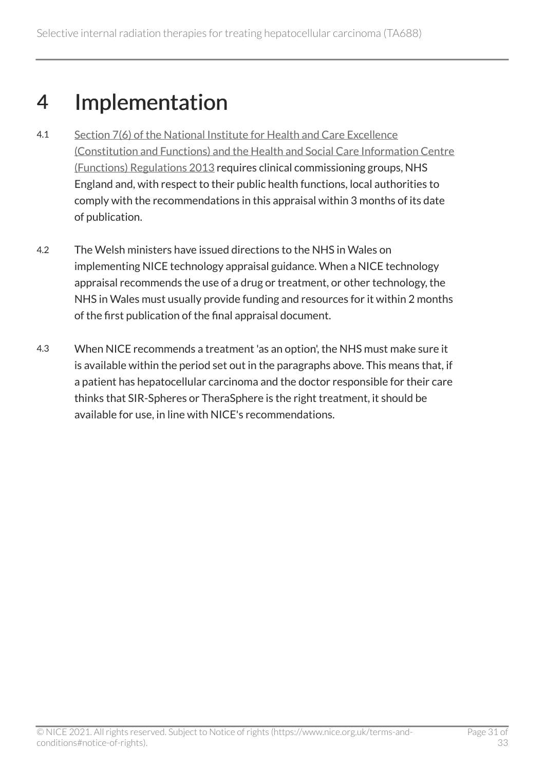## <span id="page-30-0"></span>4 Implementation

- 4.1 [Section 7\(6\) of the National Institute for Health and Care Excellence](http://www.legislation.gov.uk/uksi/2013/259/contents/made)  [\(Constitution and Functions\) and the Health and Social Care Information Centre](http://www.legislation.gov.uk/uksi/2013/259/contents/made)  [\(Functions\) Regulations 2013](http://www.legislation.gov.uk/uksi/2013/259/contents/made) requires clinical commissioning groups, NHS England and, with respect to their public health functions, local authorities to comply with the recommendations in this appraisal within 3 months of its date of publication.
- 4.2 The Welsh ministers have issued directions to the NHS in Wales on implementing NICE technology appraisal guidance. When a NICE technology appraisal recommends the use of a drug or treatment, or other technology, the NHS in Wales must usually provide funding and resources for it within 2 months of the first publication of the final appraisal document.
- 4.3 When NICE recommends a treatment 'as an option', the NHS must make sure it is available within the period set out in the paragraphs above. This means that, if a patient has hepatocellular carcinoma and the doctor responsible for their care thinks that SIR-Spheres or TheraSphere is the right treatment, it should be available for use, in line with NICE's recommendations.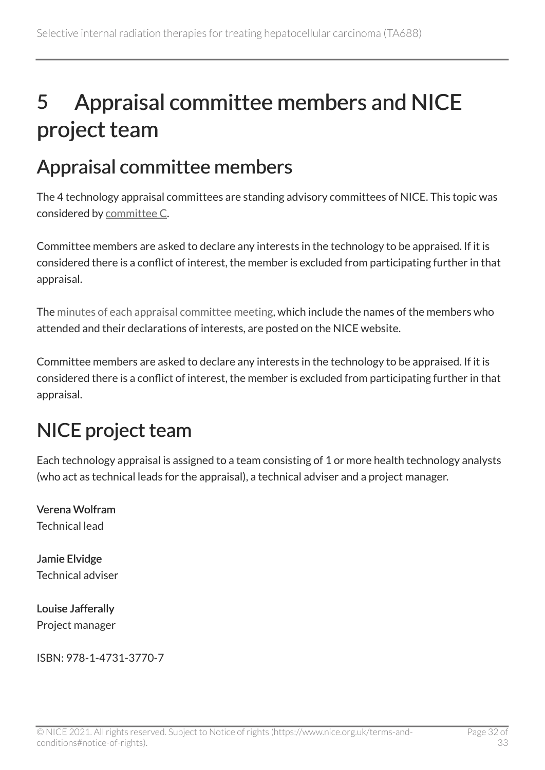## <span id="page-31-0"></span>5 Appraisal committee members and NICE project team

## <span id="page-31-1"></span>Appraisal committee members

The 4 technology appraisal committees are standing advisory committees of NICE. This topic was considered by [committee C](https://www.nice.org.uk/Get-Involved/Meetings-in-public/Technology-appraisal-Committee/Committee-C-Members).

Committee members are asked to declare any interests in the technology to be appraised. If it is considered there is a conflict of interest, the member is excluded from participating further in that appraisal.

The [minutes of each appraisal committee meeting](https://www.nice.org.uk/get-involved/meetings-in-public/technology-appraisal-committee), which include the names of the members who attended and their declarations of interests, are posted on the NICE website.

Committee members are asked to declare any interests in the technology to be appraised. If it is considered there is a conflict of interest, the member is excluded from participating further in that appraisal.

## <span id="page-31-2"></span>NICE project team

Each technology appraisal is assigned to a team consisting of 1 or more health technology analysts (who act as technical leads for the appraisal), a technical adviser and a project manager.

Verena Wolfram Technical lead

Jamie Elvidge Technical adviser

Louise Jafferally Project manager

ISBN: 978-1-4731-3770-7